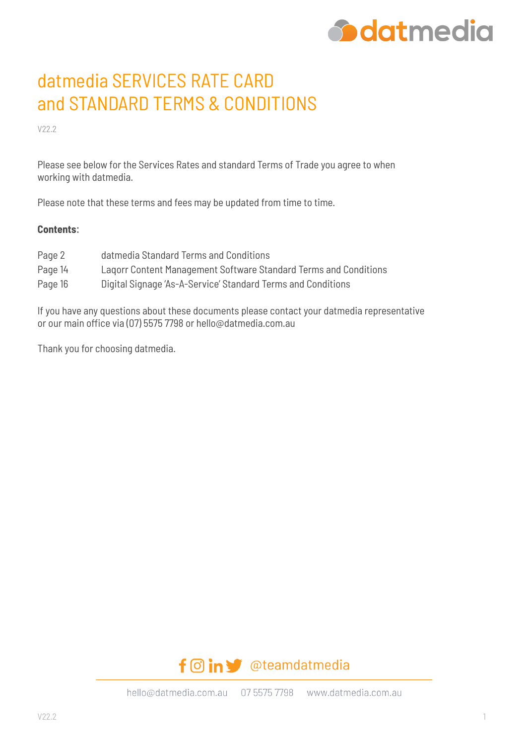

# datmedia SERVICES RATE CARD and STANDARD TERMS & CONDITIONS

V22.2

Please see below for the Services Rates and standard Terms of Trade you agree to when working with datmedia.

Please note that these terms and fees may be updated from time to time.

#### **Contents**:

- Page 2 datmedia Standard Terms and Conditions
- Page 14 Laqorr Content Management Software Standard Terms and Conditions
- Page 16 Digital Signage 'As-A-Service' Standard Terms and Conditions

If you have any questions about these documents please contact your datmedia representative or our main office via (07) 5575 7798 or hello@datmedia.com.au

Thank you for choosing datmedia.

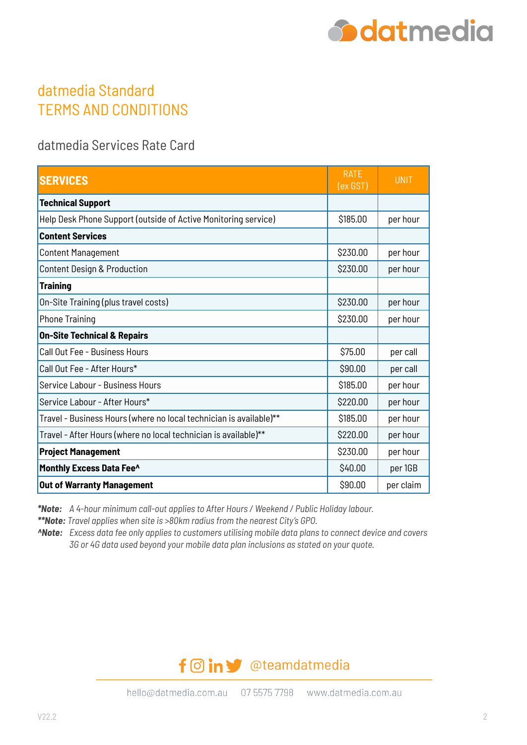

## datmedia Standard TERMS AND CONDITIONS

datmedia Services Rate Card

| <b>SERVICES</b>                                                    | <b>RATE</b><br>(ex GST) | <b>UNIT</b> |
|--------------------------------------------------------------------|-------------------------|-------------|
| <b>Technical Support</b>                                           |                         |             |
| Help Desk Phone Support (outside of Active Monitoring service)     | \$185.00                | per hour    |
| <b>Content Services</b>                                            |                         |             |
| <b>Content Management</b>                                          | \$230.00                | per hour    |
| Content Design & Production                                        | \$230.00                | per hour    |
| <b>Training</b>                                                    |                         |             |
| On-Site Training (plus travel costs)                               | \$230.00                | per hour    |
| <b>Phone Training</b>                                              | \$230.00                | per hour    |
| <b>On-Site Technical &amp; Repairs</b>                             |                         |             |
| Call Out Fee - Business Hours                                      | \$75.00                 | per call    |
| Call Out Fee - After Hours*                                        | \$90.00                 | per call    |
| Service Labour - Business Hours                                    | \$185.00                | per hour    |
| Service Labour - After Hours*                                      | \$220.00                | per hour    |
| Travel - Business Hours (where no local technician is available)** | \$185.00                | per hour    |
| Travel - After Hours (where no local technician is available)**    | \$220.00                | per hour    |
| <b>Project Management</b>                                          | \$230.00                | per hour    |
| Monthly Excess Data Fee^                                           | \$40.00                 | per 1GB     |
| <b>Out of Warranty Management</b>                                  | \$90.00                 | per claim   |

*\*Note: A 4-hour minimum call-out applies to After Hours / Weekend / Public Holiday labour.*

*\*\*Note: Travel applies when site is >80km radius from the nearest City's GPO.*

*^Note: Excess data fee only applies to customers utilising mobile data plans to connect device and covers 3G or 4G data used beyond your mobile data plan inclusions as stated on your quote.*

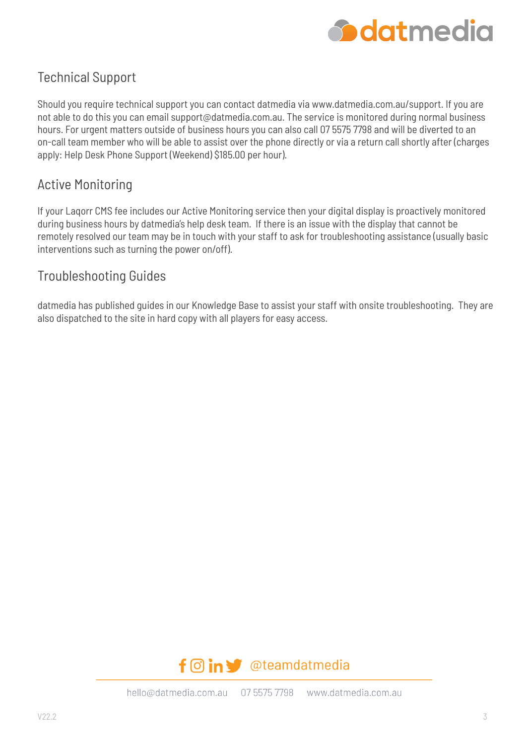

### Technical Support

Should you require technical support you can contact datmedia via www.datmedia.com.au/support. If you are not able to do this you can email support@datmedia.com.au. The service is monitored during normal business hours. For urgent matters outside of business hours you can also call 07 5575 7798 and will be diverted to an on-call team member who will be able to assist over the phone directly or via a return call shortly after (charges apply: Help Desk Phone Support (Weekend) \$185.00 per hour).

### Active Monitoring

If your Laqorr CMS fee includes our Active Monitoring service then your digital display is proactively monitored during business hours by datmedia's help desk team. If there is an issue with the display that cannot be remotely resolved our team may be in touch with your staff to ask for troubleshooting assistance (usually basic interventions such as turning the power on/off).

### Troubleshooting Guides

datmedia has published guides in our Knowledge Base to assist your staff with onsite troubleshooting. They are also dispatched to the site in hard copy with all players for easy access.

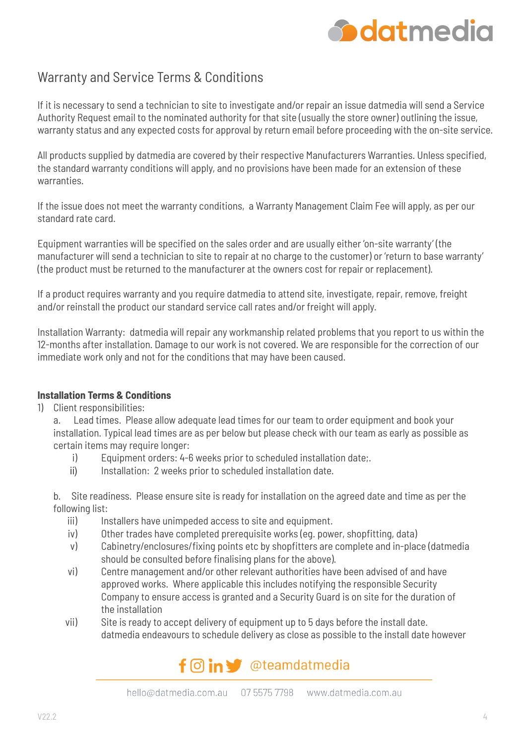

### Warranty and Service Terms & Conditions

If it is necessary to send a technician to site to investigate and/or repair an issue datmedia will send a Service Authority Request email to the nominated authority for that site (usually the store owner) outlining the issue, warranty status and any expected costs for approval by return email before proceeding with the on-site service.

All products supplied by datmedia are covered by their respective Manufacturers Warranties. Unless specified, the standard warranty conditions will apply, and no provisions have been made for an extension of these warranties.

If the issue does not meet the warranty conditions, a Warranty Management Claim Fee will apply, as per our standard rate card.

Equipment warranties will be specified on the sales order and are usually either 'on-site warranty' (the manufacturer will send a technician to site to repair at no charge to the customer) or 'return to base warranty' (the product must be returned to the manufacturer at the owners cost for repair or replacement).

If a product requires warranty and you require datmedia to attend site, investigate, repair, remove, freight and/or reinstall the product our standard service call rates and/or freight will apply.

Installation Warranty: datmedia will repair any workmanship related problems that you report to us within the 12-months after installation. Damage to our work is not covered. We are responsible for the correction of our immediate work only and not for the conditions that may have been caused.

#### **Installation Terms & Conditions**

1) Client responsibilities:

a. Lead times. Please allow adequate lead times for our team to order equipment and book your installation. Typical lead times are as per below but please check with our team as early as possible as certain items may require longer:

- i) Equipment orders: 4-6 weeks prior to scheduled installation date;.
- ii) Installation: 2 weeks prior to scheduled installation date.

b. Site readiness. Please ensure site is ready for installation on the agreed date and time as per the following list:

- iii) Installers have unimpeded access to site and equipment.
- iv) Other trades have completed prerequisite works (eg. power, shopfitting, data)
- v) Cabinetry/enclosures/fixing points etc by shopfitters are complete and in-place (datmedia should be consulted before finalising plans for the above).
- vi) Centre management and/or other relevant authorities have been advised of and have approved works. Where applicable this includes notifying the responsible Security Company to ensure access is granted and a Security Guard is on site for the duration of the installation
- vii) Site is ready to accept delivery of equipment up to 5 days before the install date. datmedia endeavours to schedule delivery as close as possible to the install date however

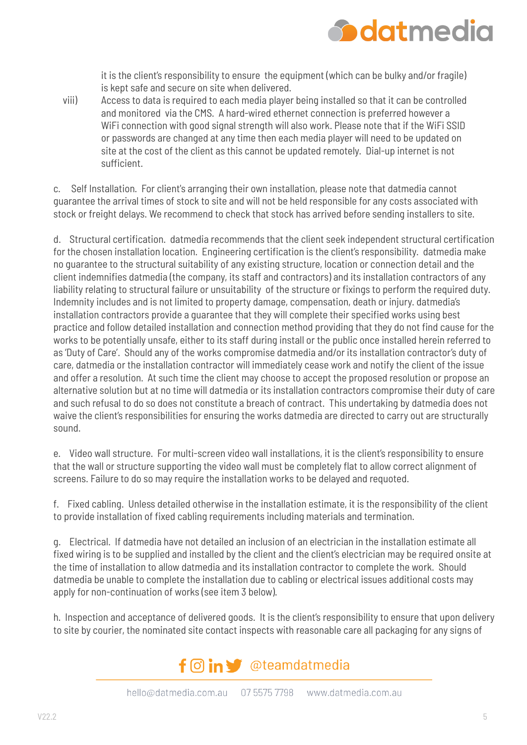

it is the client's responsibility to ensure the equipment (which can be bulky and/or fragile) is kept safe and secure on site when delivered.

viii) Access to data is required to each media player being installed so that it can be controlled and monitored via the CMS. A hard-wired ethernet connection is preferred however a WiFi connection with good signal strength will also work. Please note that if the WiFi SSID or passwords are changed at any time then each media player will need to be updated on site at the cost of the client as this cannot be updated remotely. Dial-up internet is not sufficient.

c. Self Installation. For client's arranging their own installation, please note that datmedia cannot guarantee the arrival times of stock to site and will not be held responsible for any costs associated with stock or freight delays. We recommend to check that stock has arrived before sending installers to site.

d. Structural certification. datmedia recommends that the client seek independent structural certification for the chosen installation location. Engineering certification is the client's responsibility. datmedia make no guarantee to the structural suitability of any existing structure, location or connection detail and the client indemnifies datmedia (the company, its staff and contractors) and its installation contractors of any liability relating to structural failure or unsuitability of the structure or fixings to perform the required duty. Indemnity includes and is not limited to property damage, compensation, death or injury. datmedia's installation contractors provide a guarantee that they will complete their specified works using best practice and follow detailed installation and connection method providing that they do not find cause for the works to be potentially unsafe, either to its staff during install or the public once installed herein referred to as 'Duty of Care'. Should any of the works compromise datmedia and/or its installation contractor's duty of care, datmedia or the installation contractor will immediately cease work and notify the client of the issue and offer a resolution. At such time the client may choose to accept the proposed resolution or propose an alternative solution but at no time will datmedia or its installation contractors compromise their duty of care and such refusal to do so does not constitute a breach of contract. This undertaking by datmedia does not waive the client's responsibilities for ensuring the works datmedia are directed to carry out are structurally sound.

e. Video wall structure. For multi-screen video wall installations, it is the client's responsibility to ensure that the wall or structure supporting the video wall must be completely flat to allow correct alignment of screens. Failure to do so may require the installation works to be delayed and requoted.

f. Fixed cabling. Unless detailed otherwise in the installation estimate, it is the responsibility of the client to provide installation of fixed cabling requirements including materials and termination.

g. Electrical. If datmedia have not detailed an inclusion of an electrician in the installation estimate all fixed wiring is to be supplied and installed by the client and the client's electrician may be required onsite at the time of installation to allow datmedia and its installation contractor to complete the work. Should datmedia be unable to complete the installation due to cabling or electrical issues additional costs may apply for non-continuation of works (see item 3 below).

h. Inspection and acceptance of delivered goods. It is the client's responsibility to ensure that upon delivery to site by courier, the nominated site contact inspects with reasonable care all packaging for any signs of

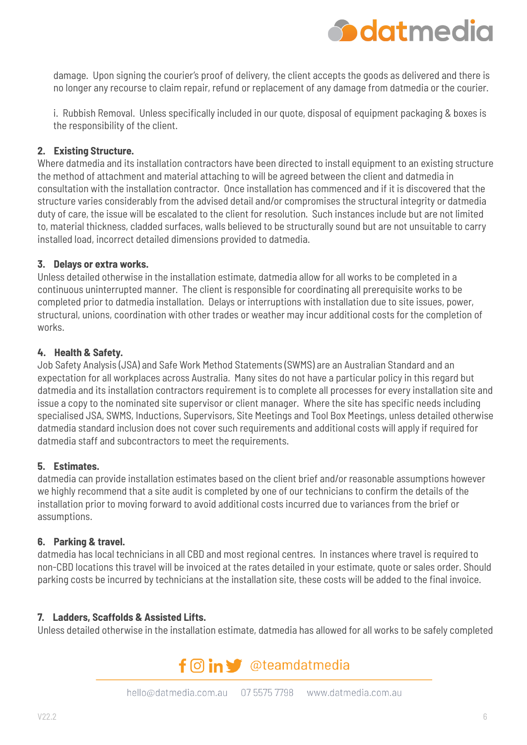

damage. Upon signing the courier's proof of delivery, the client accepts the goods as delivered and there is no longer any recourse to claim repair, refund or replacement of any damage from datmedia or the courier.

i. Rubbish Removal. Unless specifically included in our quote, disposal of equipment packaging & boxes is the responsibility of the client.

#### **2. Existing Structure.**

Where datmedia and its installation contractors have been directed to install equipment to an existing structure the method of attachment and material attaching to will be agreed between the client and datmedia in consultation with the installation contractor. Once installation has commenced and if it is discovered that the structure varies considerably from the advised detail and/or compromises the structural integrity or datmedia duty of care, the issue will be escalated to the client for resolution. Such instances include but are not limited to, material thickness, cladded surfaces, walls believed to be structurally sound but are not unsuitable to carry installed load, incorrect detailed dimensions provided to datmedia.

#### **3. Delays or extra works.**

Unless detailed otherwise in the installation estimate, datmedia allow for all works to be completed in a continuous uninterrupted manner. The client is responsible for coordinating all prerequisite works to be completed prior to datmedia installation. Delays or interruptions with installation due to site issues, power, structural, unions, coordination with other trades or weather may incur additional costs for the completion of works.

#### **4. Health & Safety.**

Job Safety Analysis (JSA) and Safe Work Method Statements (SWMS) are an Australian Standard and an expectation for all workplaces across Australia. Many sites do not have a particular policy in this regard but datmedia and its installation contractors requirement is to complete all processes for every installation site and issue a copy to the nominated site supervisor or client manager. Where the site has specific needs including specialised JSA, SWMS, Inductions, Supervisors, Site Meetings and Tool Box Meetings, unless detailed otherwise datmedia standard inclusion does not cover such requirements and additional costs will apply if required for datmedia staff and subcontractors to meet the requirements.

#### **5. Estimates.**

datmedia can provide installation estimates based on the client brief and/or reasonable assumptions however we highly recommend that a site audit is completed by one of our technicians to confirm the details of the installation prior to moving forward to avoid additional costs incurred due to variances from the brief or assumptions.

#### **6. Parking & travel.**

datmedia has local technicians in all CBD and most regional centres. In instances where travel is required to non-CBD locations this travel will be invoiced at the rates detailed in your estimate, quote or sales order. Should parking costs be incurred by technicians at the installation site, these costs will be added to the final invoice.

#### **7. Ladders, Scaffolds & Assisted Lifts.**

Unless detailed otherwise in the installation estimate, datmedia has allowed for all works to be safely completed

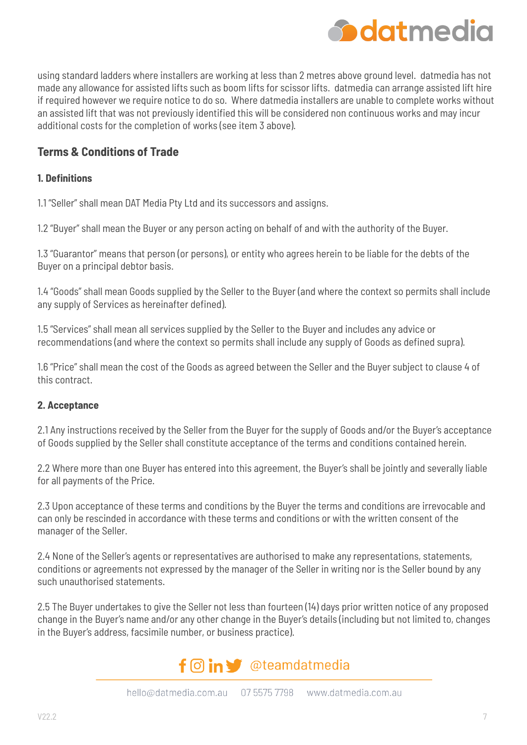

using standard ladders where installers are working at less than 2 metres above ground level. datmedia has not made any allowance for assisted lifts such as boom lifts for scissor lifts. datmedia can arrange assisted lift hire if required however we require notice to do so. Where datmedia installers are unable to complete works without an assisted lift that was not previously identified this will be considered non continuous works and may incur additional costs for the completion of works (see item 3 above).

#### **Terms & Conditions of Trade**

#### **1. Definitions**

1.1 "Seller" shall mean DAT Media Pty Ltd and its successors and assigns.

1.2 "Buyer" shall mean the Buyer or any person acting on behalf of and with the authority of the Buyer.

1.3 "Guarantor" means that person (or persons), or entity who agrees herein to be liable for the debts of the Buyer on a principal debtor basis.

1.4 "Goods" shall mean Goods supplied by the Seller to the Buyer (and where the context so permits shall include any supply of Services as hereinafter defined).

1.5 "Services" shall mean all services supplied by the Seller to the Buyer and includes any advice or recommendations (and where the context so permits shall include any supply of Goods as defined supra).

1.6 "Price" shall mean the cost of the Goods as agreed between the Seller and the Buyer subject to clause 4 of this contract.

#### **2. Acceptance**

2.1 Any instructions received by the Seller from the Buyer for the supply of Goods and/or the Buyer's acceptance of Goods supplied by the Seller shall constitute acceptance of the terms and conditions contained herein.

2.2 Where more than one Buyer has entered into this agreement, the Buyer's shall be jointly and severally liable for all payments of the Price.

2.3 Upon acceptance of these terms and conditions by the Buyer the terms and conditions are irrevocable and can only be rescinded in accordance with these terms and conditions or with the written consent of the manager of the Seller.

2.4 None of the Seller's agents or representatives are authorised to make any representations, statements, conditions or agreements not expressed by the manager of the Seller in writing nor is the Seller bound by any such unauthorised statements.

2.5 The Buyer undertakes to give the Seller not less than fourteen (14) days prior written notice of any proposed change in the Buyer's name and/or any other change in the Buyer's details (including but not limited to, changes in the Buyer's address, facsimile number, or business practice).

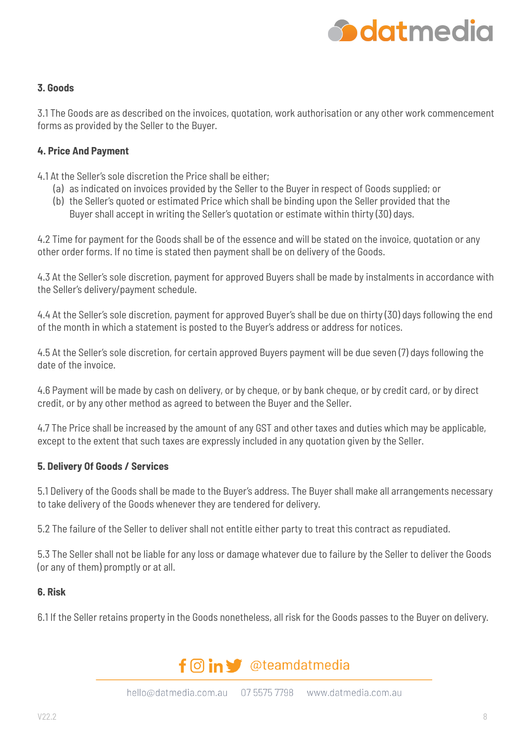

#### **3. Goods**

3.1 The Goods are as described on the invoices, quotation, work authorisation or any other work commencement forms as provided by the Seller to the Buyer.

#### **4. Price And Payment**

4.1 At the Seller's sole discretion the Price shall be either;

- (a) as indicated on invoices provided by the Seller to the Buyer in respect of Goods supplied; or
- (b) the Seller's quoted or estimated Price which shall be binding upon the Seller provided that the Buyer shall accept in writing the Seller's quotation or estimate within thirty (30) days.

4.2 Time for payment for the Goods shall be of the essence and will be stated on the invoice, quotation or any other order forms. If no time is stated then payment shall be on delivery of the Goods.

4.3 At the Seller's sole discretion, payment for approved Buyers shall be made by instalments in accordance with the Seller's delivery/payment schedule.

4.4 At the Seller's sole discretion, payment for approved Buyer's shall be due on thirty (30) days following the end of the month in which a statement is posted to the Buyer's address or address for notices.

4.5 At the Seller's sole discretion, for certain approved Buyers payment will be due seven (7) days following the date of the invoice.

4.6 Payment will be made by cash on delivery, or by cheque, or by bank cheque, or by credit card, or by direct credit, or by any other method as agreed to between the Buyer and the Seller.

4.7 The Price shall be increased by the amount of any GST and other taxes and duties which may be applicable, except to the extent that such taxes are expressly included in any quotation given by the Seller.

#### **5. Delivery Of Goods / Services**

5.1 Delivery of the Goods shall be made to the Buyer's address. The Buyer shall make all arrangements necessary to take delivery of the Goods whenever they are tendered for delivery.

5.2 The failure of the Seller to deliver shall not entitle either party to treat this contract as repudiated.

5.3 The Seller shall not be liable for any loss or damage whatever due to failure by the Seller to deliver the Goods (or any of them) promptly or at all.

#### **6. Risk**

6.1 If the Seller retains property in the Goods nonetheless, all risk for the Goods passes to the Buyer on delivery.

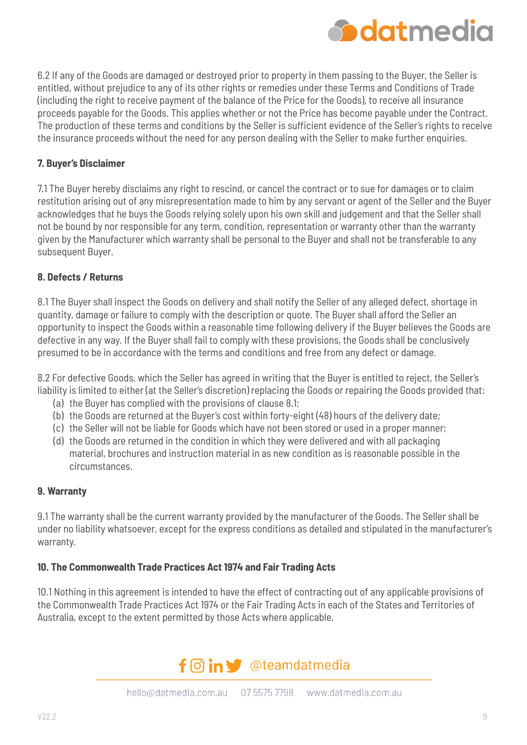

6.2 If any of the Goods are damaged or destroyed prior to property in them passing to the Buyer, the Seller is entitled, without prejudice to any of its other rights or remedies under these Terms and Conditions of Trade (including the right to receive payment of the balance of the Price for the Goods), to receive all insurance proceeds payable for the Goods. This applies whether or not the Price has become payable under the Contract. The production of these terms and conditions by the Seller is sufficient evidence of the Seller's rights to receive the insurance proceeds without the need for any person dealing with the Seller to make further enquiries.

#### **7. Buyer's Disclaimer**

7.1 The Buyer hereby disclaims any right to rescind, or cancel the contract or to sue for damages or to claim restitution arising out of any misrepresentation made to him by any servant or agent of the Seller and the Buyer acknowledges that he buys the Goods relying solely upon his own skill and judgement and that the Seller shall not be bound by nor responsible for any term, condition, representation or warranty other than the warranty given by the Manufacturer which warranty shall be personal to the Buyer and shall not be transferable to any subsequent Buyer.

#### **8. Defects / Returns**

8.1 The Buyer shall inspect the Goods on delivery and shall notify the Seller of any alleged defect, shortage in quantity, damage or failure to comply with the description or quote. The Buyer shall afford the Seller an opportunity to inspect the Goods within a reasonable time following delivery if the Buyer believes the Goods are defective in any way. If the Buyer shall fail to comply with these provisions, the Goods shall be conclusively presumed to be in accordance with the terms and conditions and free from any defect or damage.

8.2 For defective Goods, which the Seller has agreed in writing that the Buyer is entitled to reject, the Seller's liability is limited to either (at the Seller's discretion) replacing the Goods or repairing the Goods provided that:

- (a) the Buyer has complied with the provisions of clause 8.1;
- (b) the Goods are returned at the Buyer's cost within forty-eight (48) hours of the delivery date;
- (c) the Seller will not be liable for Goods which have not been stored or used in a proper manner;
- (d) the Goods are returned in the condition in which they were delivered and with all packaging material, brochures and instruction material in as new condition as is reasonable possible in the circumstances.

#### **9. Warranty**

9.1 The warranty shall be the current warranty provided by the manufacturer of the Goods. The Seller shall be under no liability whatsoever, except for the express conditions as detailed and stipulated in the manufacturer's warranty.

#### **10. The Commonwealth Trade Practices Act 1974 and Fair Trading Acts**

10.1 Nothing in this agreement is intended to have the effect of contracting out of any applicable provisions of the Commonwealth Trade Practices Act 1974 or the Fair Trading Acts in each of the States and Territories of Australia, except to the extent permitted by those Acts where applicable.

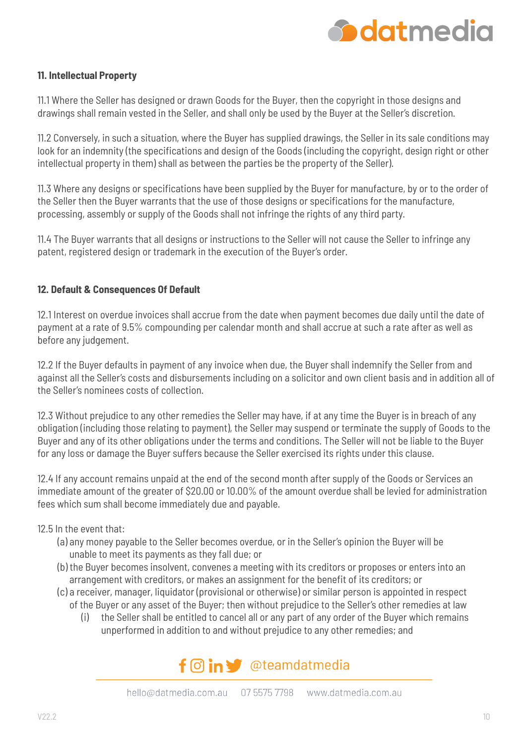

#### **11. Intellectual Property**

11.1 Where the Seller has designed or drawn Goods for the Buyer, then the copyright in those designs and drawings shall remain vested in the Seller, and shall only be used by the Buyer at the Seller's discretion.

11.2 Conversely, in such a situation, where the Buyer has supplied drawings, the Seller in its sale conditions may look for an indemnity (the specifications and design of the Goods (including the copyright, design right or other intellectual property in them) shall as between the parties be the property of the Seller).

11.3 Where any designs or specifications have been supplied by the Buyer for manufacture, by or to the order of the Seller then the Buyer warrants that the use of those designs or specifications for the manufacture, processing, assembly or supply of the Goods shall not infringe the rights of any third party.

11.4 The Buyer warrants that all designs or instructions to the Seller will not cause the Seller to infringe any patent, registered design or trademark in the execution of the Buyer's order.

#### **12. Default & Consequences Of Default**

12.1 Interest on overdue invoices shall accrue from the date when payment becomes due daily until the date of payment at a rate of 9.5% compounding per calendar month and shall accrue at such a rate after as well as before any judgement.

12.2 If the Buyer defaults in payment of any invoice when due, the Buyer shall indemnify the Seller from and against all the Seller's costs and disbursements including on a solicitor and own client basis and in addition all of the Seller's nominees costs of collection.

12.3 Without prejudice to any other remedies the Seller may have, if at any time the Buyer is in breach of any obligation (including those relating to payment), the Seller may suspend or terminate the supply of Goods to the Buyer and any of its other obligations under the terms and conditions. The Seller will not be liable to the Buyer for any loss or damage the Buyer suffers because the Seller exercised its rights under this clause.

12.4 If any account remains unpaid at the end of the second month after supply of the Goods or Services an immediate amount of the greater of \$20.00 or 10.00% of the amount overdue shall be levied for administration fees which sum shall become immediately due and payable.

#### 12.5 In the event that:

- (a) any money payable to the Seller becomes overdue, or in the Seller's opinion the Buyer will be unable to meet its payments as they fall due; or
- (b) the Buyer becomes insolvent, convenes a meeting with its creditors or proposes or enters into an arrangement with creditors, or makes an assignment for the benefit of its creditors; or
- (c) a receiver, manager, liquidator (provisional or otherwise) or similar person is appointed in respect of the Buyer or any asset of the Buyer; then without prejudice to the Seller's other remedies at law
	- (i) the Seller shall be entitled to cancel all or any part of any order of the Buyer which remains unperformed in addition to and without prejudice to any other remedies; and

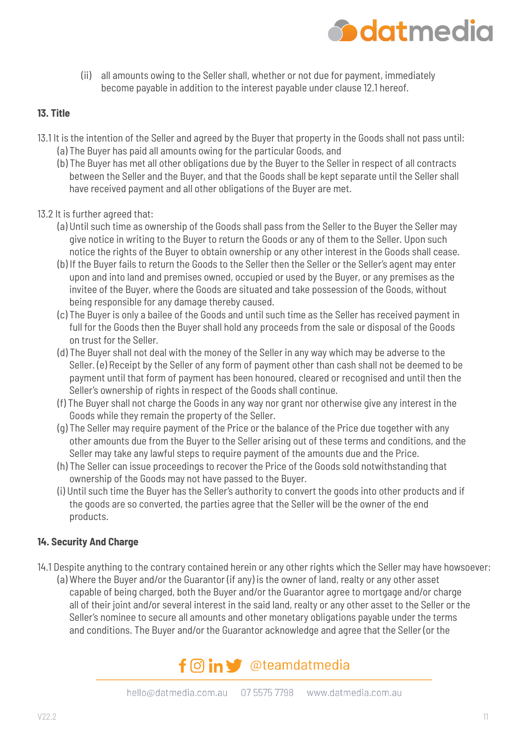

(ii) all amounts owing to the Seller shall, whether or not due for payment, immediately become payable in addition to the interest payable under clause 12.1 hereof.

#### **13. Title**

- 13.1 It is the intention of the Seller and agreed by the Buyer that property in the Goods shall not pass until: (a) The Buyer has paid all amounts owing for the particular Goods, and
	- (b) The Buyer has met all other obligations due by the Buyer to the Seller in respect of all contracts between the Seller and the Buyer, and that the Goods shall be kept separate until the Seller shall have received payment and all other obligations of the Buyer are met.
- 13.2 It is further agreed that:
	- (a) Until such time as ownership of the Goods shall pass from the Seller to the Buyer the Seller may give notice in writing to the Buyer to return the Goods or any of them to the Seller. Upon such notice the rights of the Buyer to obtain ownership or any other interest in the Goods shall cease.
	- (b) If the Buyer fails to return the Goods to the Seller then the Seller or the Seller's agent may enter upon and into land and premises owned, occupied or used by the Buyer, or any premises as the invitee of the Buyer, where the Goods are situated and take possession of the Goods, without being responsible for any damage thereby caused.
	- (c) The Buyer is only a bailee of the Goods and until such time as the Seller has received payment in full for the Goods then the Buyer shall hold any proceeds from the sale or disposal of the Goods on trust for the Seller.
	- (d) The Buyer shall not deal with the money of the Seller in any way which may be adverse to the Seller. (e) Receipt by the Seller of any form of payment other than cash shall not be deemed to be payment until that form of payment has been honoured, cleared or recognised and until then the Seller's ownership of rights in respect of the Goods shall continue.
	- (f) The Buyer shall not charge the Goods in any way nor grant nor otherwise give any interest in the Goods while they remain the property of the Seller.
	- (g) The Seller may require payment of the Price or the balance of the Price due together with any other amounts due from the Buyer to the Seller arising out of these terms and conditions, and the Seller may take any lawful steps to require payment of the amounts due and the Price.
	- (h) The Seller can issue proceedings to recover the Price of the Goods sold notwithstanding that ownership of the Goods may not have passed to the Buyer.
	- (i) Until such time the Buyer has the Seller's authority to convert the goods into other products and if the goods are so converted, the parties agree that the Seller will be the owner of the end products.

#### **14. Security And Charge**

14.1 Despite anything to the contrary contained herein or any other rights which the Seller may have howsoever: (a) Where the Buyer and/or the Guarantor (if any) is the owner of land, realty or any other asset capable of being charged, both the Buyer and/or the Guarantor agree to mortgage and/or charge all of their joint and/or several interest in the said land, realty or any other asset to the Seller or the Seller's nominee to secure all amounts and other monetary obligations payable under the terms and conditions. The Buyer and/or the Guarantor acknowledge and agree that the Seller (or the

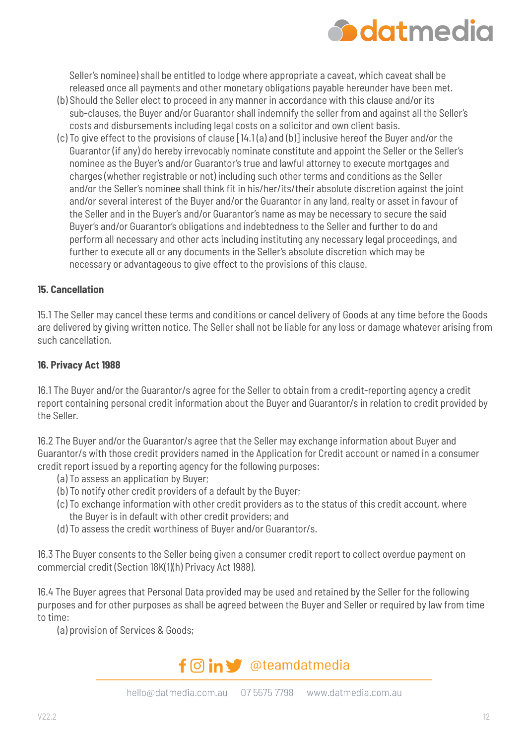

Seller's nominee) shall be entitled to lodge where appropriate a caveat, which caveat shall be released once all payments and other monetary obligations payable hereunder have been met.

- (b) Should the Seller elect to proceed in any manner in accordance with this clause and/or its sub-clauses, the Buyer and/or Guarantor shall indemnify the seller from and against all the Seller's costs and disbursements including legal costs on a solicitor and own client basis.
- (c) To give effect to the provisions of clause [14.1 (a) and (b)] inclusive hereof the Buyer and/or the Guarantor (if any) do hereby irrevocably nominate constitute and appoint the Seller or the Seller's nominee as the Buyer's and/or Guarantor's true and lawful attorney to execute mortgages and charges (whether registrable or not) including such other terms and conditions as the Seller and/or the Seller's nominee shall think fit in his/her/its/their absolute discretion against the joint and/or several interest of the Buyer and/or the Guarantor in any land, realty or asset in favour of the Seller and in the Buyer's and/or Guarantor's name as may be necessary to secure the said Buyer's and/or Guarantor's obligations and indebtedness to the Seller and further to do and perform all necessary and other acts including instituting any necessary legal proceedings, and further to execute all or any documents in the Seller's absolute discretion which may be necessary or advantageous to give effect to the provisions of this clause.

#### **15. Cancellation**

15.1 The Seller may cancel these terms and conditions or cancel delivery of Goods at any time before the Goods are delivered by giving written notice. The Seller shall not be liable for any loss or damage whatever arising from such cancellation.

#### **16. Privacy Act 1988**

16.1 The Buyer and/or the Guarantor/s agree for the Seller to obtain from a credit-reporting agency a credit report containing personal credit information about the Buyer and Guarantor/s in relation to credit provided by the Seller.

16.2 The Buyer and/or the Guarantor/s agree that the Seller may exchange information about Buyer and Guarantor/s with those credit providers named in the Application for Credit account or named in a consumer credit report issued by a reporting agency for the following purposes:

- (a) To assess an application by Buyer;
- (b) To notify other credit providers of a default by the Buyer;
- (c) To exchange information with other credit providers as to the status of this credit account, where the Buyer is in default with other credit providers; and
- (d) To assess the credit worthiness of Buyer and/or Guarantor/s.

16.3 The Buyer consents to the Seller being given a consumer credit report to collect overdue payment on commercial credit (Section 18K(1)(h) Privacy Act 1988).

16.4 The Buyer agrees that Personal Data provided may be used and retained by the Seller for the following purposes and for other purposes as shall be agreed between the Buyer and Seller or required by law from time to time:

(a) provision of Services & Goods;

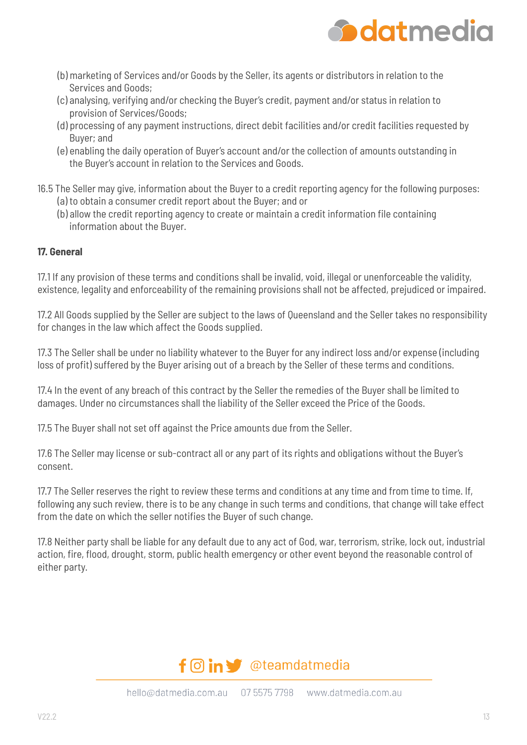

- (b) marketing of Services and/or Goods by the Seller, its agents or distributors in relation to the Services and Goods;
- (c) analysing, verifying and/or checking the Buyer's credit, payment and/or status in relation to provision of Services/Goods;
- (d) processing of any payment instructions, direct debit facilities and/or credit facilities requested by Buyer; and
- (e) enabling the daily operation of Buyer's account and/or the collection of amounts outstanding in the Buyer's account in relation to the Services and Goods.
- 16.5 The Seller may give, information about the Buyer to a credit reporting agency for the following purposes: (a) to obtain a consumer credit report about the Buyer; and or
	- (b) allow the credit reporting agency to create or maintain a credit information file containing information about the Buyer.

#### **17. General**

17.1 If any provision of these terms and conditions shall be invalid, void, illegal or unenforceable the validity, existence, legality and enforceability of the remaining provisions shall not be affected, prejudiced or impaired.

17.2 All Goods supplied by the Seller are subject to the laws of Queensland and the Seller takes no responsibility for changes in the law which affect the Goods supplied.

17.3 The Seller shall be under no liability whatever to the Buyer for any indirect loss and/or expense (including loss of profit) suffered by the Buyer arising out of a breach by the Seller of these terms and conditions.

17.4 In the event of any breach of this contract by the Seller the remedies of the Buyer shall be limited to damages. Under no circumstances shall the liability of the Seller exceed the Price of the Goods.

17.5 The Buyer shall not set off against the Price amounts due from the Seller.

17.6 The Seller may license or sub-contract all or any part of its rights and obligations without the Buyer's consent.

17.7 The Seller reserves the right to review these terms and conditions at any time and from time to time. If, following any such review, there is to be any change in such terms and conditions, that change will take effect from the date on which the seller notifies the Buyer of such change.

17.8 Neither party shall be liable for any default due to any act of God, war, terrorism, strike, lock out, industrial action, fire, flood, drought, storm, public health emergency or other event beyond the reasonable control of either party.

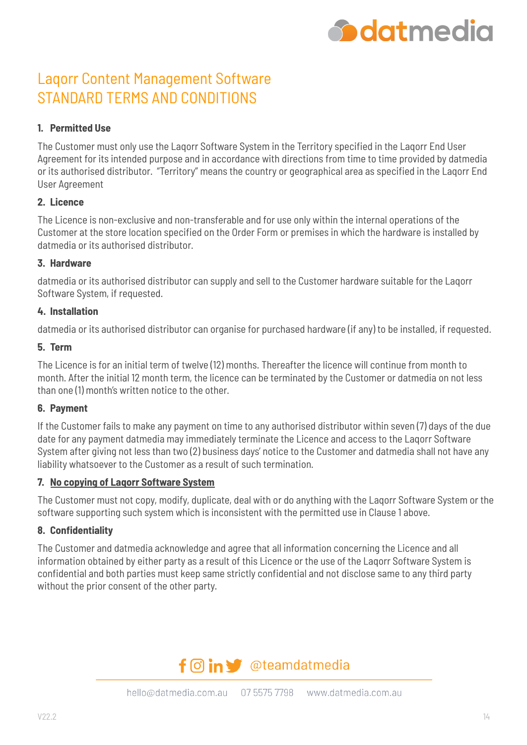

# Laqorr Content Management Software STANDARD TERMS AND CONDITIONS

#### **1. Permitted Use**

The Customer must only use the Laqorr Software System in the Territory specified in the Laqorr End User Agreement for its intended purpose and in accordance with directions from time to time provided by datmedia or its authorised distributor. "Territory" means the country or geographical area as specified in the Laqorr End User Agreement

#### **2. Licence**

The Licence is non-exclusive and non-transferable and for use only within the internal operations of the Customer at the store location specified on the Order Form or premises in which the hardware is installed by datmedia or its authorised distributor.

#### **3. Hardware**

datmedia or its authorised distributor can supply and sell to the Customer hardware suitable for the Laqorr Software System, if requested.

#### **4. Installation**

datmedia or its authorised distributor can organise for purchased hardware (if any) to be installed, if requested.

#### **5. Term**

The Licence is for an initial term of twelve (12) months. Thereafter the licence will continue from month to month. After the initial 12 month term, the licence can be terminated by the Customer or datmedia on not less than one (1) month's written notice to the other.

#### **6. Payment**

If the Customer fails to make any payment on time to any authorised distributor within seven (7) days of the due date for any payment datmedia may immediately terminate the Licence and access to the Laqorr Software System after giving not less than two (2) business days' notice to the Customer and datmedia shall not have any liability whatsoever to the Customer as a result of such termination.

#### **7. No copying of Laqorr Software System**

The Customer must not copy, modify, duplicate, deal with or do anything with the Laqorr Software System or the software supporting such system which is inconsistent with the permitted use in Clause 1 above.

#### **8. Confidentiality**

The Customer and datmedia acknowledge and agree that all information concerning the Licence and all information obtained by either party as a result of this Licence or the use of the Lagorr Software System is confidential and both parties must keep same strictly confidential and not disclose same to any third party without the prior consent of the other party.

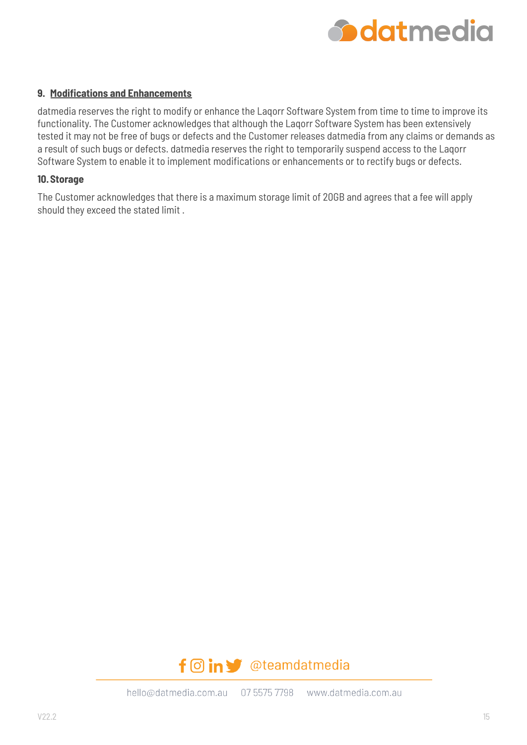

#### **9. Modifications and Enhancements**

datmedia reserves the right to modify or enhance the Laqorr Software System from time to time to improve its functionality. The Customer acknowledges that although the Laqorr Software System has been extensively tested it may not be free of bugs or defects and the Customer releases datmedia from any claims or demands as a result of such bugs or defects. datmedia reserves the right to temporarily suspend access to the Laqorr Software System to enable it to implement modifications or enhancements or to rectify bugs or defects.

#### **10.Storage**

The Customer acknowledges that there is a maximum storage limit of 20GB and agrees that a fee will apply should they exceed the stated limit .